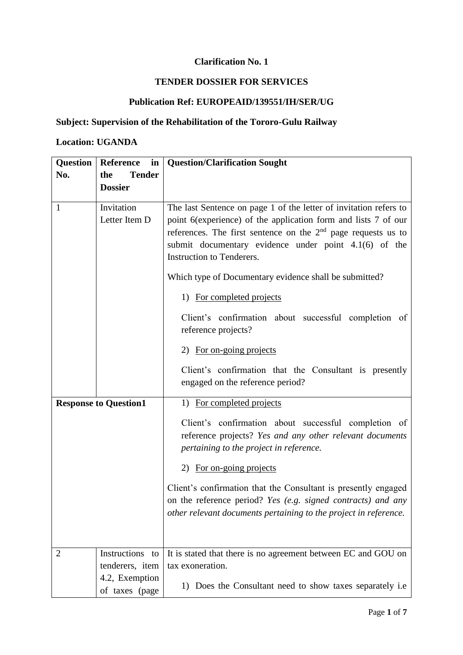# **Clarification No. 1**

### **TENDER DOSSIER FOR SERVICES**

# **Publication Ref: EUROPEAID/139551/IH/SER/UG**

#### **Subject: Supervision of the Rehabilitation of the Tororo-Gulu Railway**

#### **Location: UGANDA**

| Question       | <b>Reference</b><br>in       | <b>Question/Clarification Sought</b>                                                                                                                                                               |
|----------------|------------------------------|----------------------------------------------------------------------------------------------------------------------------------------------------------------------------------------------------|
| No.            | <b>Tender</b><br>the         |                                                                                                                                                                                                    |
|                | <b>Dossier</b>               |                                                                                                                                                                                                    |
| $\mathbf{1}$   | Invitation                   | The last Sentence on page 1 of the letter of invitation refers to                                                                                                                                  |
|                | Letter Item D                | point 6(experience) of the application form and lists 7 of our                                                                                                                                     |
|                |                              | references. The first sentence on the $2nd$ page requests us to                                                                                                                                    |
|                |                              | submit documentary evidence under point 4.1(6) of the                                                                                                                                              |
|                |                              | Instruction to Tenderers.                                                                                                                                                                          |
|                |                              | Which type of Documentary evidence shall be submitted?                                                                                                                                             |
|                |                              | 1) For completed projects                                                                                                                                                                          |
|                |                              | Client's confirmation about successful completion of                                                                                                                                               |
|                |                              | reference projects?                                                                                                                                                                                |
|                |                              | 2) For on-going projects                                                                                                                                                                           |
|                |                              | Client's confirmation that the Consultant is presently                                                                                                                                             |
|                |                              | engaged on the reference period?                                                                                                                                                                   |
|                | <b>Response to Question1</b> | 1) For completed projects                                                                                                                                                                          |
|                |                              | Client's confirmation about successful completion of<br>reference projects? Yes and any other relevant documents<br>pertaining to the project in reference.                                        |
|                |                              | 2) For on-going projects                                                                                                                                                                           |
|                |                              | Client's confirmation that the Consultant is presently engaged<br>on the reference period? Yes (e.g. signed contracts) and any<br>other relevant documents pertaining to the project in reference. |
|                |                              |                                                                                                                                                                                                    |
| $\overline{2}$ | Instructions to              | It is stated that there is no agreement between EC and GOU on                                                                                                                                      |
|                | tenderers, item              | tax exoneration.                                                                                                                                                                                   |
|                | 4.2, Exemption               | 1) Does the Consultant need to show taxes separately i.e                                                                                                                                           |
|                | of taxes (page               |                                                                                                                                                                                                    |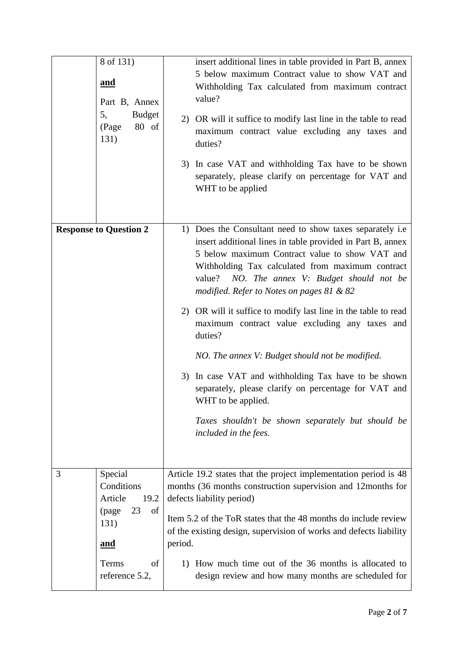| 8 of 131)<br><u>and</u><br>Part B, Annex<br>5,<br><b>Budget</b><br>80 of<br>(Page<br>131) | insert additional lines in table provided in Part B, annex<br>5 below maximum Contract value to show VAT and<br>Withholding Tax calculated from maximum contract<br>value?<br>2) OR will it suffice to modify last line in the table to read<br>maximum contract value excluding any taxes and<br>duties?<br>3) In case VAT and withholding Tax have to be shown<br>separately, please clarify on percentage for VAT and<br>WHT to be applied                                                                                                                                                                                                                                                                                        |
|-------------------------------------------------------------------------------------------|--------------------------------------------------------------------------------------------------------------------------------------------------------------------------------------------------------------------------------------------------------------------------------------------------------------------------------------------------------------------------------------------------------------------------------------------------------------------------------------------------------------------------------------------------------------------------------------------------------------------------------------------------------------------------------------------------------------------------------------|
| <b>Response to Question 2</b>                                                             | 1) Does the Consultant need to show taxes separately i.e.<br>insert additional lines in table provided in Part B, annex<br>5 below maximum Contract value to show VAT and<br>Withholding Tax calculated from maximum contract<br>NO. The annex V: Budget should not be<br>value?<br>modified. Refer to Notes on pages $81 & 82$<br>2) OR will it suffice to modify last line in the table to read<br>maximum contract value excluding any taxes and<br>duties?<br>NO. The annex V: Budget should not be modified.<br>3) In case VAT and withholding Tax have to be shown<br>separately, please clarify on percentage for VAT and<br>WHT to be applied.<br>Taxes shouldn't be shown separately but should be<br>included in the fees. |
| Special<br>3<br>Conditions<br>Article<br>19.2<br>23<br>of<br>(page)<br>131)               | Article 19.2 states that the project implementation period is 48<br>months (36 months construction supervision and 12months for<br>defects liability period)<br>Item 5.2 of the ToR states that the 48 months do include review                                                                                                                                                                                                                                                                                                                                                                                                                                                                                                      |
| <u>and</u><br>Terms<br>of<br>reference 5.2,                                               | of the existing design, supervision of works and defects liability<br>period.<br>1) How much time out of the 36 months is allocated to<br>design review and how many months are scheduled for                                                                                                                                                                                                                                                                                                                                                                                                                                                                                                                                        |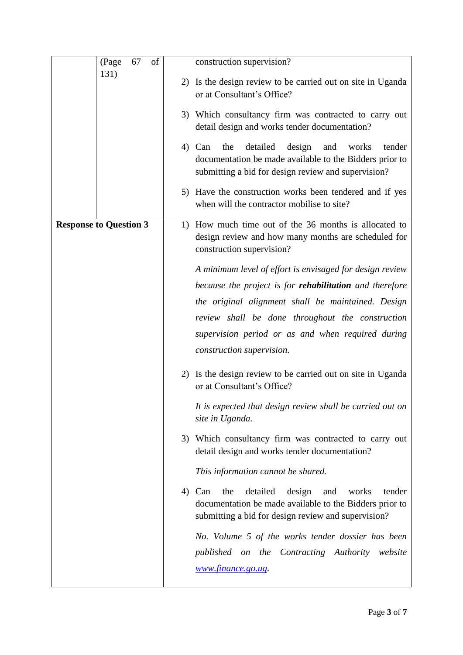| 67<br>of<br>(Page             | construction supervision?                                                                                                                                                       |
|-------------------------------|---------------------------------------------------------------------------------------------------------------------------------------------------------------------------------|
| 131)                          | 2) Is the design review to be carried out on site in Uganda<br>or at Consultant's Office?                                                                                       |
|                               | 3) Which consultancy firm was contracted to carry out<br>detail design and works tender documentation?                                                                          |
|                               | detailed<br>design<br>the<br>and<br>works<br>4) Can<br>tender<br>documentation be made available to the Bidders prior to<br>submitting a bid for design review and supervision? |
|                               | 5) Have the construction works been tendered and if yes<br>when will the contractor mobilise to site?                                                                           |
| <b>Response to Question 3</b> | 1) How much time out of the 36 months is allocated to<br>design review and how many months are scheduled for<br>construction supervision?                                       |
|                               | A minimum level of effort is envisaged for design review                                                                                                                        |
|                               | because the project is for <b>rehabilitation</b> and therefore                                                                                                                  |
|                               | the original alignment shall be maintained. Design                                                                                                                              |
|                               | review shall be done throughout the construction                                                                                                                                |
|                               | supervision period or as and when required during                                                                                                                               |
|                               | construction supervision.                                                                                                                                                       |
|                               | 2) Is the design review to be carried out on site in Uganda<br>or at Consultant's Office?                                                                                       |
|                               | It is expected that design review shall be carried out on<br>site in Uganda.                                                                                                    |
|                               | 3) Which consultancy firm was contracted to carry out<br>detail design and works tender documentation?                                                                          |
|                               | This information cannot be shared.                                                                                                                                              |
|                               | detailed<br>4) Can<br>the<br>design<br>and<br>works<br>tender<br>documentation be made available to the Bidders prior to<br>submitting a bid for design review and supervision? |
|                               | No. Volume 5 of the works tender dossier has been                                                                                                                               |
|                               | published on the Contracting Authority website                                                                                                                                  |
|                               | www.finance.go.ug.                                                                                                                                                              |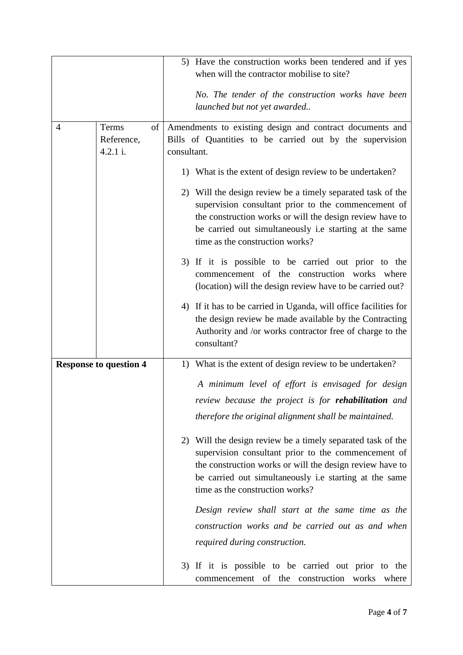|                |                                       | 5) Have the construction works been tendered and if yes<br>when will the contractor mobilise to site?<br>No. The tender of the construction works have been<br>launched but not yet awarded                                                                                 |
|----------------|---------------------------------------|-----------------------------------------------------------------------------------------------------------------------------------------------------------------------------------------------------------------------------------------------------------------------------|
| $\overline{4}$ | of<br>Terms<br>Reference,<br>4.2.1 i. | Amendments to existing design and contract documents and<br>Bills of Quantities to be carried out by the supervision<br>consultant.                                                                                                                                         |
|                |                                       | 1) What is the extent of design review to be undertaken?                                                                                                                                                                                                                    |
|                |                                       | 2) Will the design review be a timely separated task of the<br>supervision consultant prior to the commencement of<br>the construction works or will the design review have to<br>be carried out simultaneously i.e starting at the same<br>time as the construction works? |
|                |                                       | 3) If it is possible to be carried out prior to the<br>commencement of the construction works where<br>(location) will the design review have to be carried out?                                                                                                            |
|                |                                       | 4) If it has to be carried in Uganda, will office facilities for<br>the design review be made available by the Contracting<br>Authority and /or works contractor free of charge to the<br>consultant?                                                                       |
|                | <b>Response to question 4</b>         | 1) What is the extent of design review to be undertaken?                                                                                                                                                                                                                    |
|                |                                       | A minimum level of effort is envisaged for design                                                                                                                                                                                                                           |
|                |                                       | review because the project is for <b>rehabilitation</b> and                                                                                                                                                                                                                 |
|                |                                       | therefore the original alignment shall be maintained.                                                                                                                                                                                                                       |
|                |                                       | 2) Will the design review be a timely separated task of the<br>supervision consultant prior to the commencement of<br>the construction works or will the design review have to<br>be carried out simultaneously i.e starting at the same<br>time as the construction works? |
|                |                                       | Design review shall start at the same time as the                                                                                                                                                                                                                           |
|                |                                       | construction works and be carried out as and when                                                                                                                                                                                                                           |
|                |                                       | required during construction.                                                                                                                                                                                                                                               |
|                |                                       | 3) If it is possible to be carried out prior to the<br>commencement of the construction works where                                                                                                                                                                         |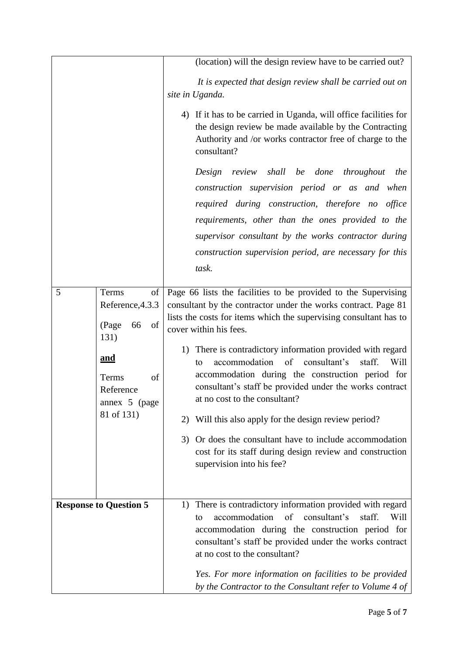|                                                                                                                                            | (location) will the design review have to be carried out?                                                                                                                                                                                                                                                                                                                                                                                                                                                                                                                                                                                                                                                                 |
|--------------------------------------------------------------------------------------------------------------------------------------------|---------------------------------------------------------------------------------------------------------------------------------------------------------------------------------------------------------------------------------------------------------------------------------------------------------------------------------------------------------------------------------------------------------------------------------------------------------------------------------------------------------------------------------------------------------------------------------------------------------------------------------------------------------------------------------------------------------------------------|
|                                                                                                                                            | It is expected that design review shall be carried out on<br>site in Uganda.                                                                                                                                                                                                                                                                                                                                                                                                                                                                                                                                                                                                                                              |
|                                                                                                                                            | 4) If it has to be carried in Uganda, will office facilities for<br>the design review be made available by the Contracting<br>Authority and /or works contractor free of charge to the<br>consultant?                                                                                                                                                                                                                                                                                                                                                                                                                                                                                                                     |
|                                                                                                                                            | Design review shall<br>be done<br>throughout<br>the                                                                                                                                                                                                                                                                                                                                                                                                                                                                                                                                                                                                                                                                       |
|                                                                                                                                            | construction supervision period or as and when                                                                                                                                                                                                                                                                                                                                                                                                                                                                                                                                                                                                                                                                            |
|                                                                                                                                            | required during construction, therefore no<br>office                                                                                                                                                                                                                                                                                                                                                                                                                                                                                                                                                                                                                                                                      |
|                                                                                                                                            | requirements, other than the ones provided to the                                                                                                                                                                                                                                                                                                                                                                                                                                                                                                                                                                                                                                                                         |
|                                                                                                                                            | supervisor consultant by the works contractor during                                                                                                                                                                                                                                                                                                                                                                                                                                                                                                                                                                                                                                                                      |
|                                                                                                                                            | construction supervision period, are necessary for this                                                                                                                                                                                                                                                                                                                                                                                                                                                                                                                                                                                                                                                                   |
|                                                                                                                                            | task.                                                                                                                                                                                                                                                                                                                                                                                                                                                                                                                                                                                                                                                                                                                     |
| 5<br>Terms<br>of<br>Reference, 4.3.3<br>(Page<br>66<br>of<br>131)<br><u>and</u><br>Terms<br>of<br>Reference<br>annex 5 (page<br>81 of 131) | Page 66 lists the facilities to be provided to the Supervising<br>consultant by the contractor under the works contract. Page 81<br>lists the costs for items which the supervising consultant has to<br>cover within his fees.<br>1) There is contradictory information provided with regard<br>accommodation<br>of<br>consultant's<br>staff.<br>Will<br>to<br>accommodation during the construction period for<br>consultant's staff be provided under the works contract<br>at no cost to the consultant?<br>2) Will this also apply for the design review period?<br>3) Or does the consultant have to include accommodation<br>cost for its staff during design review and construction<br>supervision into his fee? |
| <b>Response to Question 5</b>                                                                                                              | 1) There is contradictory information provided with regard<br>consultant's<br>accommodation of<br>staff.<br>Will<br>to<br>accommodation during the construction period for<br>consultant's staff be provided under the works contract<br>at no cost to the consultant?<br>Yes. For more information on facilities to be provided<br>by the Contractor to the Consultant refer to Volume 4 of                                                                                                                                                                                                                                                                                                                              |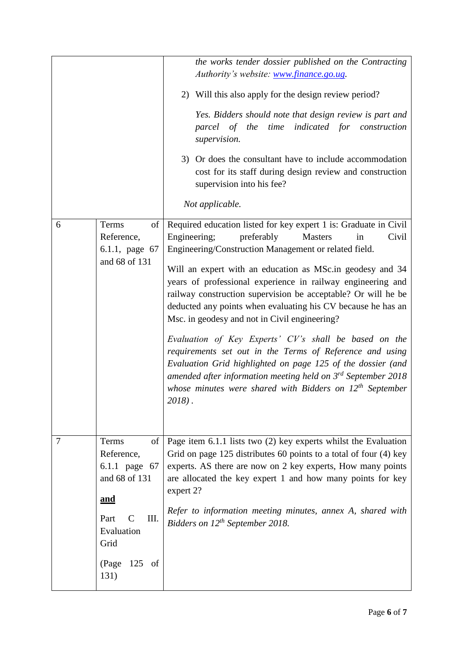| 6 | of<br>Terms                                                                                                                              | the works tender dossier published on the Contracting<br>Authority's website: www.finance.go.ug.<br>2) Will this also apply for the design review period?<br>Yes. Bidders should note that design review is part and<br>parcel of the time indicated for construction<br>supervision.<br>3) Or does the consultant have to include accommodation<br>cost for its staff during design review and construction<br>supervision into his fee?<br>Not applicable.<br>Required education listed for key expert 1 is: Graduate in Civil                                                                                                                                                                                                                                         |
|---|------------------------------------------------------------------------------------------------------------------------------------------|--------------------------------------------------------------------------------------------------------------------------------------------------------------------------------------------------------------------------------------------------------------------------------------------------------------------------------------------------------------------------------------------------------------------------------------------------------------------------------------------------------------------------------------------------------------------------------------------------------------------------------------------------------------------------------------------------------------------------------------------------------------------------|
|   | Reference,<br>6.1.1, page 67<br>and 68 of 131                                                                                            | Engineering;<br>preferably<br>Civil<br><b>Masters</b><br>in<br>Engineering/Construction Management or related field.<br>Will an expert with an education as MSc.in geodesy and 34<br>years of professional experience in railway engineering and<br>railway construction supervision be acceptable? Or will he be<br>deducted any points when evaluating his CV because he has an<br>Msc. in geodesy and not in Civil engineering?<br>Evaluation of Key Experts' CV's shall be based on the<br>requirements set out in the Terms of Reference and using<br>Evaluation Grid highlighted on page 125 of the dossier (and<br>amended after information meeting held on $3^{rd}$ September 2018<br>whose minutes were shared with Bidders on $12^{th}$ September<br>$2018$ . |
| 7 | Terms<br>of<br>Reference,<br>6.1.1 page 67<br>and 68 of 131<br>and<br>Part<br>Ш.<br>C<br>Evaluation<br>Grid<br>$125$ of<br>(Page<br>131) | Page item 6.1.1 lists two (2) key experts whilst the Evaluation<br>Grid on page 125 distributes 60 points to a total of four (4) key<br>experts. AS there are now on 2 key experts, How many points<br>are allocated the key expert 1 and how many points for key<br>expert 2?<br>Refer to information meeting minutes, annex A, shared with<br>Bidders on 12 <sup>th</sup> September 2018.                                                                                                                                                                                                                                                                                                                                                                              |